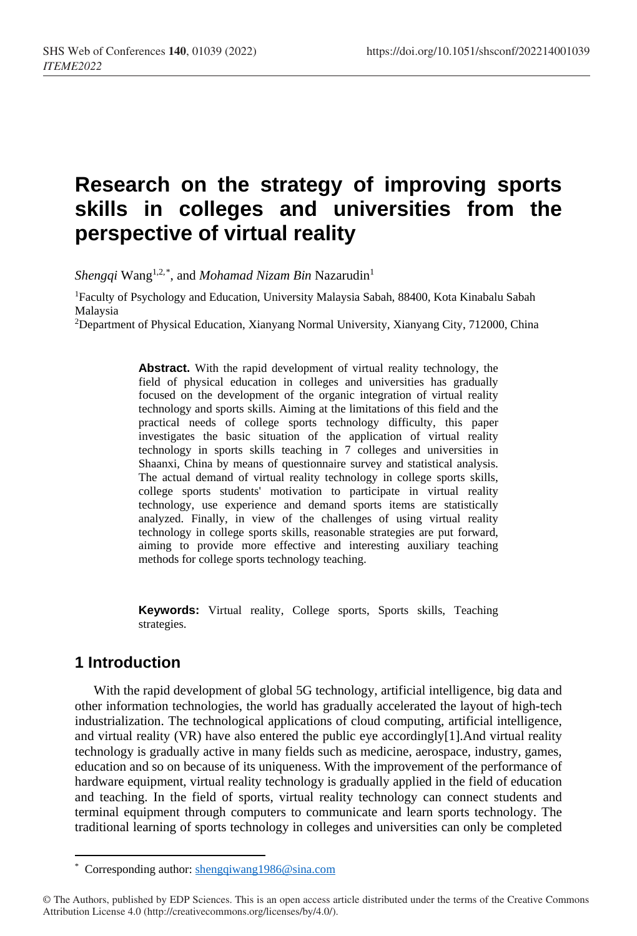# **Research on the strategy of improving sports skills in colleges and universities from the perspective of virtual reality**

 $Shengqi$   $\mathrm{Wang}^{1,2,*},$  $\mathrm{Wang}^{1,2,*},$  $\mathrm{Wang}^{1,2,*},$  and  $\emph{Mohamad}$   $\emph{Nizam}$   $\emph{Bin}$   $\emph{Nazarudin}^{1}$ 

1Faculty of Psychology and Education, University Malaysia Sabah, 88400, Kota Kinabalu Sabah Malaysia

2Department of Physical Education, Xianyang Normal University, Xianyang City, 712000, China

**Abstract.** With the rapid development of virtual reality technology, the field of physical education in colleges and universities has gradually focused on the development of the organic integration of virtual reality technology and sports skills. Aiming at the limitations of this field and the practical needs of college sports technology difficulty, this paper investigates the basic situation of the application of virtual reality technology in sports skills teaching in 7 colleges and universities in Shaanxi, China by means of questionnaire survey and statistical analysis. The actual demand of virtual reality technology in college sports skills, college sports students' motivation to participate in virtual reality technology, use experience and demand sports items are statistically analyzed. Finally, in view of the challenges of using virtual reality technology in college sports skills, reasonable strategies are put forward, aiming to provide more effective and interesting auxiliary teaching methods for college sports technology teaching.

**Keywords:** Virtual reality, College sports, Sports skills, Teaching strategies.

# **1 Introduction**

With the rapid development of global 5G technology, artificial intelligence, big data and other information technologies, the world has gradually accelerated the layout of high-tech industrialization. The technological applications of cloud computing, artificial intelligence, and virtual reality (VR) have also entered the public eye accordingly[1].And virtual reality technology is gradually active in many fields such as medicine, aerospace, industry, games, education and so on because of its uniqueness. With the improvement of the performance of hardware equipment, virtual reality technology is gradually applied in the field of education and teaching. In the field of sports, virtual reality technology can connect students and terminal equipment through computers to communicate and learn sports technology. The traditional learning of sports technology in colleges and universities can only be completed

 $\overline{a}$ \* Corresponding author[: shengqiwang1986@sina.com](mailto:shengqiwang1986@sina.com)

<span id="page-0-0"></span><sup>©</sup> The Authors, published by EDP Sciences. This is an open access article distributed under the terms of the Creative Commons Attribution License 4.0 (http://creativecommons.org/licenses/by/4.0/).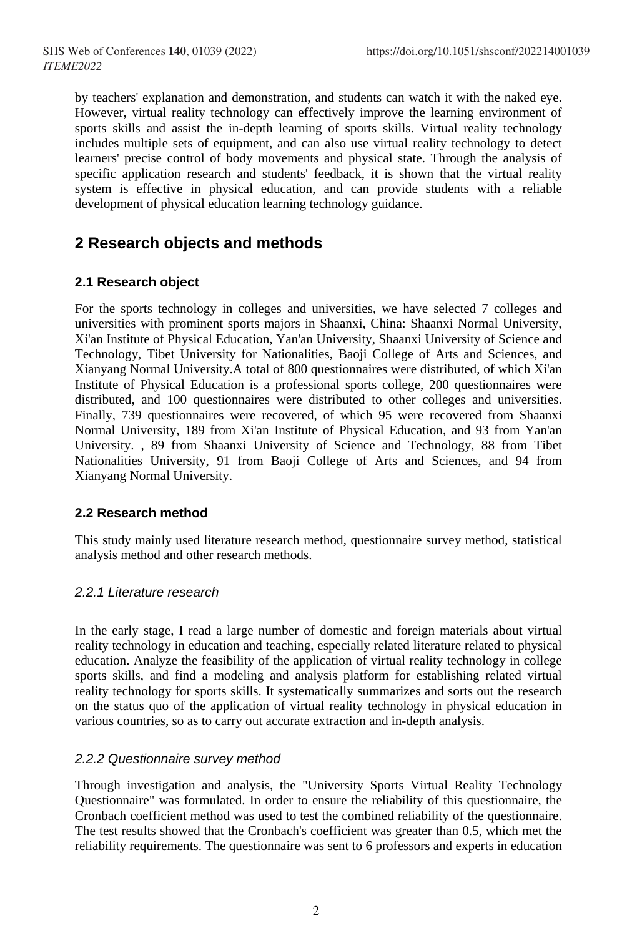by teachers' explanation and demonstration, and students can watch it with the naked eye. However, virtual reality technology can effectively improve the learning environment of sports skills and assist the in-depth learning of sports skills. Virtual reality technology includes multiple sets of equipment, and can also use virtual reality technology to detect learners' precise control of body movements and physical state. Through the analysis of specific application research and students' feedback, it is shown that the virtual reality system is effective in physical education, and can provide students with a reliable development of physical education learning technology guidance.

# **2 Research objects and methods**

# **2.1 Research object**

For the sports technology in colleges and universities, we have selected 7 colleges and universities with prominent sports majors in Shaanxi, China: Shaanxi Normal University, Xi'an Institute of Physical Education, Yan'an University, Shaanxi University of Science and Technology, Tibet University for Nationalities, Baoji College of Arts and Sciences, and Xianyang Normal University.A total of 800 questionnaires were distributed, of which Xi'an Institute of Physical Education is a professional sports college, 200 questionnaires were distributed, and 100 questionnaires were distributed to other colleges and universities. Finally, 739 questionnaires were recovered, of which 95 were recovered from Shaanxi Normal University, 189 from Xi'an Institute of Physical Education, and 93 from Yan'an University. , 89 from Shaanxi University of Science and Technology, 88 from Tibet Nationalities University, 91 from Baoji College of Arts and Sciences, and 94 from Xianyang Normal University.

# **2.2 Research method**

This study mainly used literature research method, questionnaire survey method, statistical analysis method and other research methods.

# *2.2.1 Literature research*

In the early stage, I read a large number of domestic and foreign materials about virtual reality technology in education and teaching, especially related literature related to physical education. Analyze the feasibility of the application of virtual reality technology in college sports skills, and find a modeling and analysis platform for establishing related virtual reality technology for sports skills. It systematically summarizes and sorts out the research on the status quo of the application of virtual reality technology in physical education in various countries, so as to carry out accurate extraction and in-depth analysis.

# *2.2.2 Questionnaire survey method*

Through investigation and analysis, the "University Sports Virtual Reality Technology Questionnaire" was formulated. In order to ensure the reliability of this questionnaire, the Cronbach coefficient method was used to test the combined reliability of the questionnaire. The test results showed that the Cronbach's coefficient was greater than 0.5, which met the reliability requirements. The questionnaire was sent to 6 professors and experts in education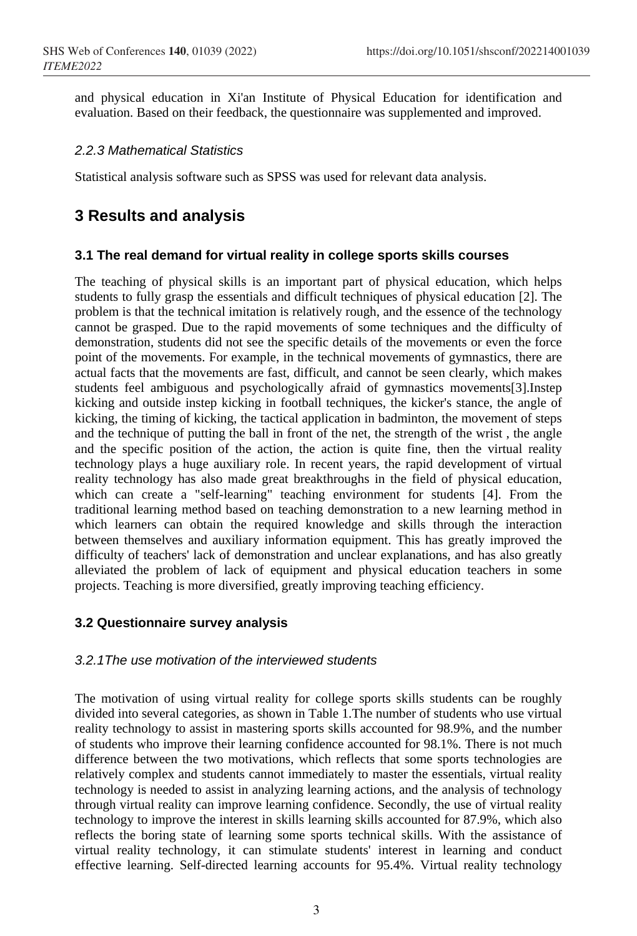and physical education in Xi'an Institute of Physical Education for identification and evaluation. Based on their feedback, the questionnaire was supplemented and improved.

#### *2.2.3 Mathematical Statistics*

Statistical analysis software such as SPSS was used for relevant data analysis.

# **3 Results and analysis**

#### **3.1 The real demand for virtual reality in college sports skills courses**

The teaching of physical skills is an important part of physical education, which helps students to fully grasp the essentials and difficult techniques of physical education [2]. The problem is that the technical imitation is relatively rough, and the essence of the technology cannot be grasped. Due to the rapid movements of some techniques and the difficulty of demonstration, students did not see the specific details of the movements or even the force point of the movements. For example, in the technical movements of gymnastics, there are actual facts that the movements are fast, difficult, and cannot be seen clearly, which makes students feel ambiguous and psychologically afraid of gymnastics movements[3].Instep kicking and outside instep kicking in football techniques, the kicker's stance, the angle of kicking, the timing of kicking, the tactical application in badminton, the movement of steps and the technique of putting the ball in front of the net, the strength of the wrist , the angle and the specific position of the action, the action is quite fine, then the virtual reality technology plays a huge auxiliary role. In recent years, the rapid development of virtual reality technology has also made great breakthroughs in the field of physical education, which can create a "self-learning" teaching environment for students [4]. From the traditional learning method based on teaching demonstration to a new learning method in which learners can obtain the required knowledge and skills through the interaction between themselves and auxiliary information equipment. This has greatly improved the difficulty of teachers' lack of demonstration and unclear explanations, and has also greatly alleviated the problem of lack of equipment and physical education teachers in some projects. Teaching is more diversified, greatly improving teaching efficiency.

# **3.2 Questionnaire survey analysis**

#### *3.2.1The use motivation of the interviewed students*

The motivation of using virtual reality for college sports skills students can be roughly divided into several categories, as shown in Table 1.The number of students who use virtual reality technology to assist in mastering sports skills accounted for 98.9%, and the number of students who improve their learning confidence accounted for 98.1%. There is not much difference between the two motivations, which reflects that some sports technologies are relatively complex and students cannot immediately to master the essentials, virtual reality technology is needed to assist in analyzing learning actions, and the analysis of technology through virtual reality can improve learning confidence. Secondly, the use of virtual reality technology to improve the interest in skills learning skills accounted for 87.9%, which also reflects the boring state of learning some sports technical skills. With the assistance of virtual reality technology, it can stimulate students' interest in learning and conduct effective learning. Self-directed learning accounts for 95.4%. Virtual reality technology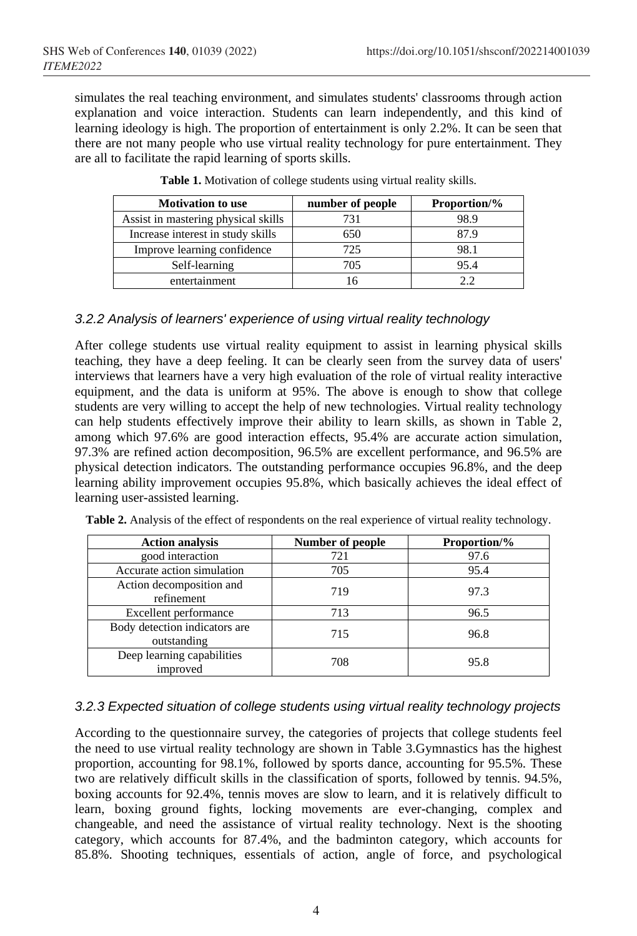simulates the real teaching environment, and simulates students' classrooms through action explanation and voice interaction. Students can learn independently, and this kind of learning ideology is high. The proportion of entertainment is only 2.2%. It can be seen that there are not many people who use virtual reality technology for pure entertainment. They are all to facilitate the rapid learning of sports skills.

| <b>Motivation to use</b>            | number of people | <b>Proportion/%</b> |
|-------------------------------------|------------------|---------------------|
| Assist in mastering physical skills | 731              | 98.9                |
| Increase interest in study skills   | 650              | 87.9                |
| Improve learning confidence         | 725              | 98.1                |
| Self-learning                       | 705              | 95.4                |
| entertainment                       |                  | つつ                  |

**Table 1.** Motivation of college students using virtual reality skills.

# *3.2.2 Analysis of learners' experience of using virtual reality technology*

After college students use virtual reality equipment to assist in learning physical skills teaching, they have a deep feeling. It can be clearly seen from the survey data of users' interviews that learners have a very high evaluation of the role of virtual reality interactive equipment, and the data is uniform at 95%. The above is enough to show that college students are very willing to accept the help of new technologies. Virtual reality technology can help students effectively improve their ability to learn skills, as shown in Table 2, among which 97.6% are good interaction effects, 95.4% are accurate action simulation, 97.3% are refined action decomposition, 96.5% are excellent performance, and 96.5% are physical detection indicators. The outstanding performance occupies 96.8%, and the deep learning ability improvement occupies 95.8%, which basically achieves the ideal effect of learning user-assisted learning.

| <b>Action analysis</b>                       | Number of people | <b>Proportion/%</b> |
|----------------------------------------------|------------------|---------------------|
| good interaction                             | 721              | 97.6                |
| Accurate action simulation                   | 705              | 95.4                |
| Action decomposition and<br>refinement       | 719              | 97.3                |
| Excellent performance                        | 713              | 96.5                |
| Body detection indicators are<br>outstanding | 715              | 96.8                |
| Deep learning capabilities<br>improved       | 708              | 95.8                |

**Table 2.** Analysis of the effect of respondents on the real experience of virtual reality technology.

### *3.2.3 Expected situation of college students using virtual reality technology projects*

According to the questionnaire survey, the categories of projects that college students feel the need to use virtual reality technology are shown in Table 3.Gymnastics has the highest proportion, accounting for 98.1%, followed by sports dance, accounting for 95.5%. These two are relatively difficult skills in the classification of sports, followed by tennis. 94.5%, boxing accounts for 92.4%, tennis moves are slow to learn, and it is relatively difficult to learn, boxing ground fights, locking movements are ever-changing, complex and changeable, and need the assistance of virtual reality technology. Next is the shooting category, which accounts for 87.4%, and the badminton category, which accounts for 85.8%. Shooting techniques, essentials of action, angle of force, and psychological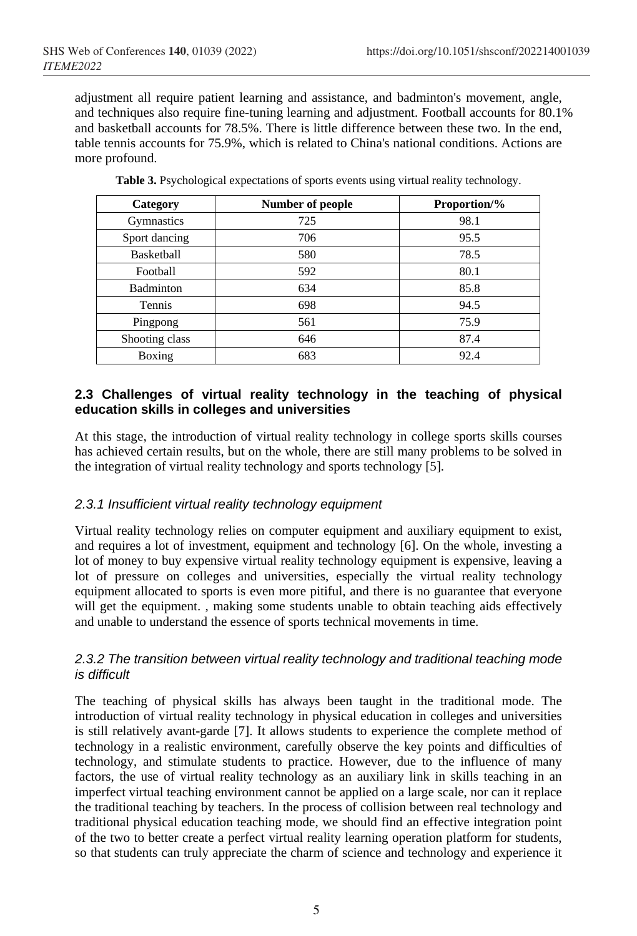adjustment all require patient learning and assistance, and badminton's movement, angle, and techniques also require fine-tuning learning and adjustment. Football accounts for 80.1% and basketball accounts for 78.5%. There is little difference between these two. In the end, table tennis accounts for 75.9%, which is related to China's national conditions. Actions are more profound.

| Category          | Number of people | Proportion/% |
|-------------------|------------------|--------------|
| Gymnastics        | 725              | 98.1         |
| Sport dancing     | 706              | 95.5         |
| <b>Basketball</b> | 580              | 78.5         |
| Football          | 592              | 80.1         |
| <b>Badminton</b>  | 634              | 85.8         |
| Tennis            | 698              | 94.5         |
| Pingpong          | 561              | 75.9         |
| Shooting class    | 646              | 87.4         |
| Boxing            | 683              | 92.4         |

**Table 3.** Psychological expectations of sports events using virtual reality technology.

# **2.3 Challenges of virtual reality technology in the teaching of physical education skills in colleges and universities**

At this stage, the introduction of virtual reality technology in college sports skills courses has achieved certain results, but on the whole, there are still many problems to be solved in the integration of virtual reality technology and sports technology [5].

#### *2.3.1 Insufficient virtual reality technology equipment*

Virtual reality technology relies on computer equipment and auxiliary equipment to exist, and requires a lot of investment, equipment and technology [6]. On the whole, investing a lot of money to buy expensive virtual reality technology equipment is expensive, leaving a lot of pressure on colleges and universities, especially the virtual reality technology equipment allocated to sports is even more pitiful, and there is no guarantee that everyone will get the equipment. , making some students unable to obtain teaching aids effectively and unable to understand the essence of sports technical movements in time.

#### *2.3.2 The transition between virtual reality technology and traditional teaching mode is difficult*

The teaching of physical skills has always been taught in the traditional mode. The introduction of virtual reality technology in physical education in colleges and universities is still relatively avant-garde [7]. It allows students to experience the complete method of technology in a realistic environment, carefully observe the key points and difficulties of technology, and stimulate students to practice. However, due to the influence of many factors, the use of virtual reality technology as an auxiliary link in skills teaching in an imperfect virtual teaching environment cannot be applied on a large scale, nor can it replace the traditional teaching by teachers. In the process of collision between real technology and traditional physical education teaching mode, we should find an effective integration point of the two to better create a perfect virtual reality learning operation platform for students, so that students can truly appreciate the charm of science and technology and experience it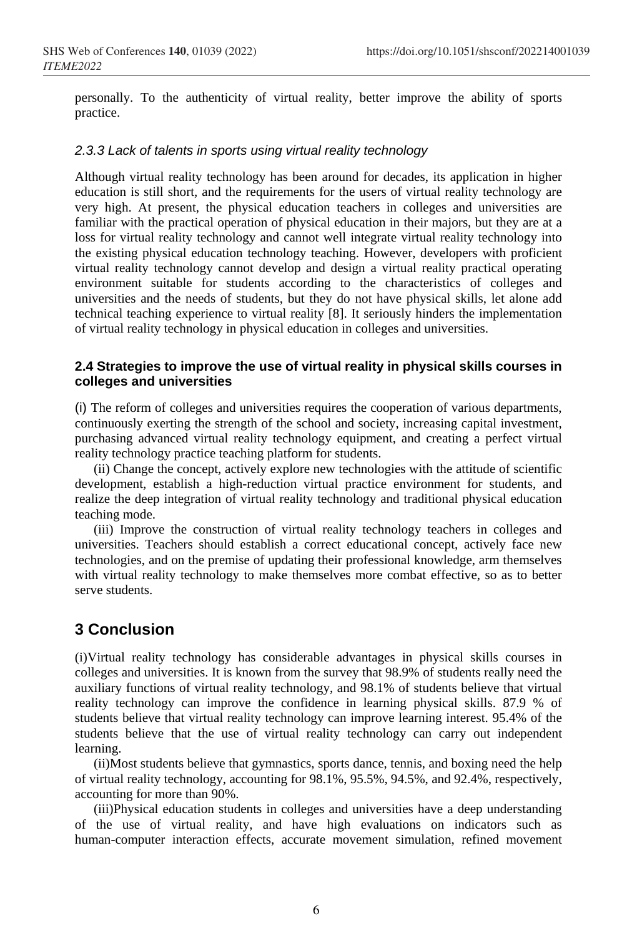personally. To the authenticity of virtual reality, better improve the ability of sports practice.

#### *2.3.3 Lack of talents in sports using virtual reality technology*

Although virtual reality technology has been around for decades, its application in higher education is still short, and the requirements for the users of virtual reality technology are very high. At present, the physical education teachers in colleges and universities are familiar with the practical operation of physical education in their majors, but they are at a loss for virtual reality technology and cannot well integrate virtual reality technology into the existing physical education technology teaching. However, developers with proficient virtual reality technology cannot develop and design a virtual reality practical operating environment suitable for students according to the characteristics of colleges and universities and the needs of students, but they do not have physical skills, let alone add technical teaching experience to virtual reality [8]. It seriously hinders the implementation of virtual reality technology in physical education in colleges and universities.

#### **2.4 Strategies to improve the use of virtual reality in physical skills courses in colleges and universities**

(i) The reform of colleges and universities requires the cooperation of various departments, continuously exerting the strength of the school and society, increasing capital investment, purchasing advanced virtual reality technology equipment, and creating a perfect virtual reality technology practice teaching platform for students.

(ii) Change the concept, actively explore new technologies with the attitude of scientific development, establish a high-reduction virtual practice environment for students, and realize the deep integration of virtual reality technology and traditional physical education teaching mode.

(iii) Improve the construction of virtual reality technology teachers in colleges and universities. Teachers should establish a correct educational concept, actively face new technologies, and on the premise of updating their professional knowledge, arm themselves with virtual reality technology to make themselves more combat effective, so as to better serve students.

# **3 Conclusion**

(i)Virtual reality technology has considerable advantages in physical skills courses in colleges and universities. It is known from the survey that 98.9% of students really need the auxiliary functions of virtual reality technology, and 98.1% of students believe that virtual reality technology can improve the confidence in learning physical skills. 87.9 % of students believe that virtual reality technology can improve learning interest. 95.4% of the students believe that the use of virtual reality technology can carry out independent learning.

(ii)Most students believe that gymnastics, sports dance, tennis, and boxing need the help of virtual reality technology, accounting for 98.1%, 95.5%, 94.5%, and 92.4%, respectively, accounting for more than 90%.

(iii)Physical education students in colleges and universities have a deep understanding of the use of virtual reality, and have high evaluations on indicators such as human-computer interaction effects, accurate movement simulation, refined movement